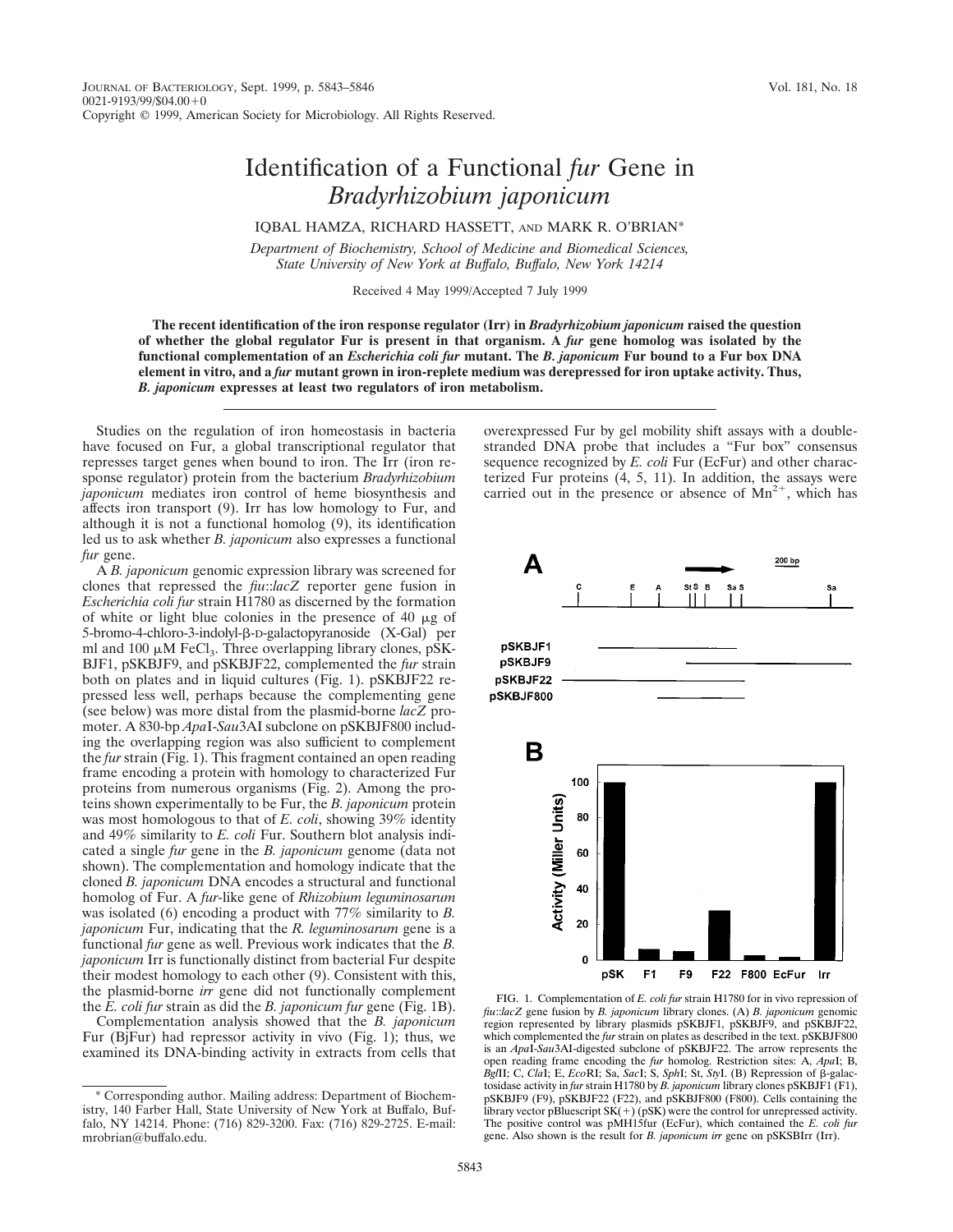## Identification of a Functional *fur* Gene in *Bradyrhizobium japonicum*

IQBAL HAMZA, RICHARD HASSETT, AND MARK R. O'BRIAN\*

*Department of Biochemistry, School of Medicine and Biomedical Sciences, State University of New York at Buffalo, Buffalo, New York 14214*

Received 4 May 1999/Accepted 7 July 1999

**The recent identification of the iron response regulator (Irr) in** *Bradyrhizobium japonicum* **raised the question of whether the global regulator Fur is present in that organism. A** *fur* **gene homolog was isolated by the functional complementation of an** *Escherichia coli fur* **mutant. The** *B. japonicum* **Fur bound to a Fur box DNA element in vitro, and a** *fur* **mutant grown in iron-replete medium was derepressed for iron uptake activity. Thus,** *B. japonicum* **expresses at least two regulators of iron metabolism.**

Studies on the regulation of iron homeostasis in bacteria have focused on Fur, a global transcriptional regulator that represses target genes when bound to iron. The Irr (iron response regulator) protein from the bacterium *Bradyrhizobium japonicum* mediates iron control of heme biosynthesis and affects iron transport (9). Irr has low homology to Fur, and although it is not a functional homolog (9), its identification led us to ask whether *B. japonicum* also expresses a functional *fur* gene.

A *B. japonicum* genomic expression library was screened for clones that repressed the *fiu*::*lacZ* reporter gene fusion in *Escherichia coli fur* strain H1780 as discerned by the formation of white or light blue colonies in the presence of 40  $\mu$ g of 5-bromo-4-chloro-3-indolyl-β-D-galactopyranoside (X-Gal) per ml and 100  $\mu$ M FeCl<sub>3</sub>. Three overlapping library clones, pSK-BJF1, pSKBJF9, and pSKBJF22, complemented the *fur* strain both on plates and in liquid cultures (Fig. 1). pSKBJF22 repressed less well, perhaps because the complementing gene (see below) was more distal from the plasmid-borne *lacZ* promoter. A 830-bp *Apa*I-*Sau*3AI subclone on pSKBJF800 including the overlapping region was also sufficient to complement the *fur* strain (Fig. 1). This fragment contained an open reading frame encoding a protein with homology to characterized Fur proteins from numerous organisms (Fig. 2). Among the proteins shown experimentally to be Fur, the *B. japonicum* protein was most homologous to that of *E. coli*, showing 39% identity and 49% similarity to *E. coli* Fur. Southern blot analysis indicated a single *fur* gene in the *B. japonicum* genome (data not shown). The complementation and homology indicate that the cloned *B. japonicum* DNA encodes a structural and functional homolog of Fur. A *fur*-like gene of *Rhizobium leguminosarum* was isolated (6) encoding a product with 77% similarity to *B. japonicum* Fur, indicating that the *R. leguminosarum* gene is a functional *fur* gene as well. Previous work indicates that the *B. japonicum* Irr is functionally distinct from bacterial Fur despite their modest homology to each other (9). Consistent with this, the plasmid-borne *irr* gene did not functionally complement the *E. coli fur* strain as did the *B. japonicum fur* gene (Fig. 1B).

Complementation analysis showed that the *B. japonicum* Fur (BjFur) had repressor activity in vivo (Fig. 1); thus, we examined its DNA-binding activity in extracts from cells that overexpressed Fur by gel mobility shift assays with a doublestranded DNA probe that includes a "Fur box" consensus sequence recognized by *E. coli* Fur (EcFur) and other characterized Fur proteins (4, 5, 11). In addition, the assays were carried out in the presence or absence of  $Mn^{2+}$ , which has



FIG. 1. Complementation of *E. coli fur* strain H1780 for in vivo repression of *fiu*::*lacZ* gene fusion by *B. japonicum* library clones. (A) *B. japonicum* genomic region represented by library plasmids pSKBJF1, pSKBJF9, and pSKBJF22, which complemented the *fur* strain on plates as described in the text. pSKBJF800 is an *Apa*I-*Sau*3AI-digested subclone of pSKBJF22. The arrow represents the open reading frame encoding the *fur* homolog. Restriction sites: A, *Apa*I; B, *Bgl*II; C, *Cla*I; E, *Eco*RI; Sa, *Sac*I; S, *Sph*I; St, *Sty*I. (B) Repression of b-galactosidase activity in *fur* strain H1780 by *B. japonicum* library clones pSKBJF1 (F1), pSKBJF9 (F9), pSKBJF22 (F22), and pSKBJF800 (F800). Cells containing the library vector pBluescript  $SK(+)$  (pSK) were the control for unrepressed activity. The positive control was pMH15fur (EcFur), which contained the *E. coli fur* gene. Also shown is the result for *B. japonicum irr* gene on pSKSBIrr (Irr).

<sup>\*</sup> Corresponding author. Mailing address: Department of Biochemistry, 140 Farber Hall, State University of New York at Buffalo, Buffalo, NY 14214. Phone: (716) 829-3200. Fax: (716) 829-2725. E-mail: mrobrian@buffalo.edu.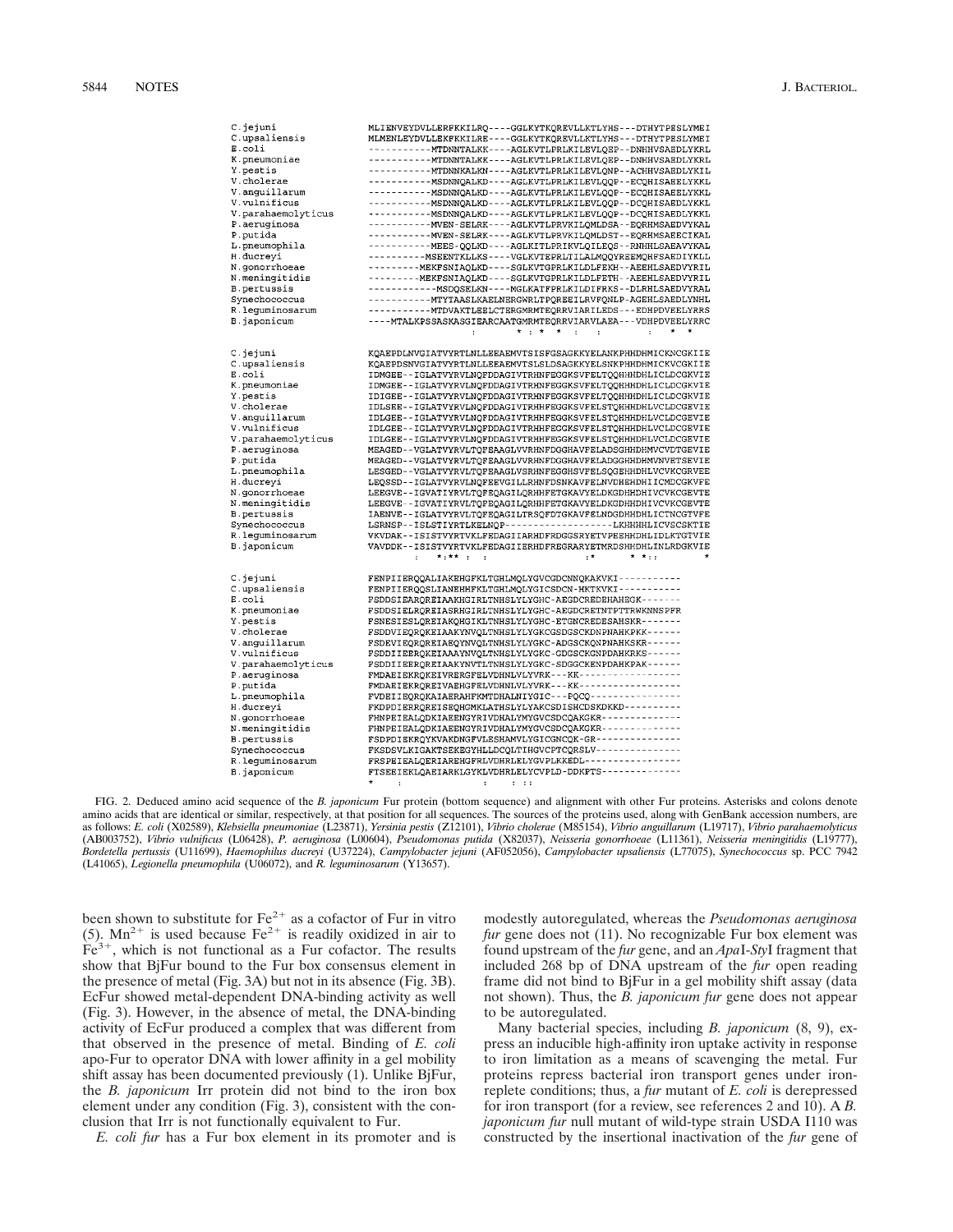| C.jejuni           | MLIENVEYDVLLERFKKILRQ ---- GGLKYTKQREVLLKTLYHS --- DTHYTPESLYMEI |
|--------------------|------------------------------------------------------------------|
| C.upsaliensis      | MLMENLEYDVLLEKFKKILRE----GGLKYTKQREVLLKTLYHS---DTHYTPESLYMEI     |
| E.coli             | ------------MTDNNTALKK----AGLKVTLPRLKILEVLQEP--DNHHVSAEDLYKRL    |
| K.pneumoniae       | -----------MTDNNTALKK----AGLKVTLPRLKILEVLQEP--DNHHVSAEDLYKRL     |
| Y.pestis           | -----------MTDNNKALKN----AGLKVTLPRLKILEVLQNP--ACHHVSAEDLYKIL     |
| V.cholerae         |                                                                  |
|                    |                                                                  |
| V.anguillarum      | -----------MSDNNQALKD----AGLKVTLPRLKILEVLQQP--ECQHISAEELYKKL     |
| V.vulnificus       | -----------MSDNNQALKD----AGLKVTLPRLKILEVLQQP--DCQHISAEDLYKKL     |
| V.parahaemolyticus | -----------MSDNNQALKD----AGLKVTLPRLKILEVLQQP--DCQHISAEDLYKKL     |
| P.aeruginosa       | ------------MVEN-SELRK----AGLKVTLPRVKILQMLDSA--EQRHMSAEDVYKAL    |
| P.putida           | -----------MVEN-SELRK----AGLKVTLPRVKILQMLDST--EQRHMSAEECIKAL     |
| L.pneumophila      | -----------MEES-QQLKD----AGLKITLPRIKVLQILEQS--RNHHLSAEAVYKAL     |
| H.ducreyi          | ----------MSEENTKLLKS----VGLKVTEPRLTILALMQQYREEMQHFSAEDIYKLL     |
| N.gonorrhoeae      | ---------MEKFSNIAQLKD----SGLKVTGPRLKILDLFEKH--AEEHLSAEDVYRIL     |
| N.meningitidis     | ---------MEKFSNIAQLKD----SGLKVTGPRLKILDLFETH--AEEHLSAEDVYRIL     |
| B.pertussis        |                                                                  |
|                    |                                                                  |
| Synechococcus      | ------------MTYTAASLKAELNERGWRLTPOREEILRVFONLP-AGEHLSAEDLYNHL    |
| R.lequminosarum    | -----------MTDVAKTLEELCTERGMRMTEQRRVIARILEDS---EDHPDVEELYRRS     |
| B.japonicum        | ----MTALKPSSASKASGIEARCAATGMRMTEQRRVIARVLAEA---VDHPDVEELYRRC     |
|                    | $\star$ $\rightarrow$ $\star$<br>$\star$<br>$\cdot$<br>÷         |
|                    |                                                                  |
| C.jejuni           | KQAEPDLNVGIATVYRTLNLLEEAEMVTSISFGSAGKKYELANKPHHDHMICKNCGKIIE     |
| C.upsaliensis      | KOAEPDSNVGIATVYRTLNLLEEAEMVTSLSLDSAGKKYELSNKPHHDHMICKVCGKIIE     |
| E.coli             | IDMGEE--IGLATVYRVLNOFDDAGIVTRHNFEGGKSVFELTOOHHHDHLICLDCGKVIE     |
| K.pneumoniae       | IDMGEE--IGLATVYRVLNQFDDAGIVTRHNFEGGKSVFELTQQHHHDHLICLDCGKVIE     |
|                    |                                                                  |
| Y.pestis           | IDIGEE--IGLATVYRVLNQFDDAGIVTRHNFEGGKSVFELTQQHHHDHLICLDCGKVIE     |
| V.cholerae         | IDLSEE--IGLATVYRVLNQFDDAGIVTRHHFEGGKSVFELSTQHHHDHLVCLDCGEVIE     |
| V.anguillarum      | IDLGEE--IGLATVYRVLNQFDDAGIVTRHHFEGGKSVFELSTQHHHDHLVCLDCGEVIE     |
| V.vulnificus       | IDLGEE--IGLATVYRVLNQFDDAGIVTRHHFEGGKSVFELSTQHHHDHLVCLDCGEVIE     |
| V.parahaemolyticus | IDLGEE--IGLATVYRVLNQFDDAGIVTRHHFEGGKSVFELSTQHHHDHLVCLDCGEVIE     |
| P.aeruginosa       | MEAGED--VGLATVYRVLTQFEAAGLVVRHNFDGGHAVFELADSGHHDHMVCVDTGEVIE     |
| P.putida           | MEAGED--VGLATVYRVLTQFEAAGLVVRHNFDGGHAVFELADGGHHDHMVNVETSEVIE     |
| L.pneumophila      | LESGED--VGLATVYRVLTQFEAAGLVSRHNFEGGHSVFELSQGEHHDHLVCVKCGRVEE     |
| H.ducreyi          | LEQSSD--IGLATVYRVLNQFEEVGILLRHNFDSNKAVFELNVDHEHDHIICMDCGKVFE     |
| N.gonorrhoeae      | LEEGVE--IGVATIYRVLTQFEQAGILQRHHFETGKAVYELDKGDHHDHIVCVKCGEVTE     |
| N.meningitidis     | LEEGVE--IGVATIYRVLTQFEQAGILQRHHFETGKAVYELDKGDHHDHIVCVKCGEVTE     |
| <b>B.pertussis</b> | IAENVE--IGLATVYRVLTQFEQAGILTRSQFDTGKAVFELNDGDHHDHLICTNCGTVFE     |
| Synechococcus      | LSRNSP--ISLSTIYRTLKELNQP------------------LKHHHHLICVSCSKTIE      |
| R.leguminosarum    | VKVDAK -- ISISTVYRTVKLFEDAGIIARHDFRDGGSRYETVPEEHHDHLIDLKTGTVIE   |
|                    |                                                                  |
| B.japonicum        | VAVDDK--ISISTVYRTVKLFEDAGIIERHDFREGRARYETMRDSHHDHLINLRDGKVIE     |
|                    | $*_{1}**++$<br>$: *$<br>$*$ $*$ : :<br>÷.                        |
|                    |                                                                  |
| C.jejuni           | FENPIIERQQALIAKEHGFKLTGHLMQLYGVCGDCNNQKAKVKI------------         |
| C.upsaliensis      | FENPIIERQQSLIANEHHFKLTGHLMQLYGICSDCN-HKTKVKI-----------          |
| E.coli             | FSDDSIEARQREIAAKHGIRLTNHSLYLYGHC-AEGDCREDEHAHEGK-------          |
| K.pneumoniae       | FSDDSIELROREIASRHGIRLTNHSLYLYGHC-AEGDCRETNTPTTRWKNNSPFR          |
| Y.pestis           | FSNESIESLQREIAKQHGIKLTNHSLYLYGHC-ETGNCREDESAHSKR-------          |
| V.cholerae         | FSDDVIEQRQKEIAAKYNVQLTNHSLYLYGKCGSDGSCKDNPNAHKPKK------          |
| V.anguillarum      | FSDEVIEQRQREIAEQYNVQLTNHSLYLYGKC-ADGSCKQNPNAHKSKR------          |
| V.vulnificus       | FSDDIIEERQKEIAAAYNVQLTNHSLYLYGKC-GDGSCKGNPDAHKRKS------          |
| V.parahaemolyticus | FSDDIIEERQREIAAKYNVTLTNHSLYLYGKC-SDGGCKENPDAHKPAK------          |
| P.aeruginosa       | FMDAEIEKRQKEIVRERGFELVDHNLVLYVRK---KK------------------          |
|                    |                                                                  |
| P.putida           | FMDAEIEKRQREIVAEHGFELVDHNLVLYVRK---KK------------------          |
| L.pneumophila      | FVDEIIEQRQKAIAERAHFKMTDHALNIYGIC---PQCQ----------------          |
| H.ducreyi          | FKDPDIERRQREISEQHGMKLATHSLYLYAKCSDISHCDSKDKKD----------          |
| N.gonorrhoeae      | FHNPEIEALQDKIAEENGYRIVDHALYMYGVCSDCQAKGKR--------------          |
| N.meningitidis     | FHNPEIEALQDKIAEENGYRIVDHALYMYGVCSDCQAKGKR--------------          |
| B.pertussis        | FSDPDIEKRQYKVAKDNGFVLESHAMVLYGICGNCQK-GR---------------          |
| Synechococcus      | FKSDSVLKIGAKTSEKEGYHLLDCQLTIHGVCPTCQRSLV---------------          |
| R.lequminosarum    | FRSPEIEALOERIAREHGFRLVDHRLELYGVPLKKEDL-----------------          |
| B.japonicum        | FTSEEIEKLQAEIARKLGYKLVDHRLELYCVPLD-DDKPTS--------------          |
|                    |                                                                  |

FIG. 2. Deduced amino acid sequence of the *B. japonicum* Fur protein (bottom sequence) and alignment with other Fur proteins. Asterisks and colons denote amino acids that are identical or similar, respectively, at that position for all sequences. The sources of the proteins used, along with GenBank accession numbers, are as follows: *E. coli* (X02589), *Klebsiella pneumoniae* (L23871), *Yersinia pestis* (Z12101), *Vibrio cholerae* (M85154), *Vibrio anguillarum* (L19717), *Vibrio parahaemolyticus* (AB003752), *Vibrio vulnificus* (L06428), *P. aeruginosa* (L00604), *Pseudomonas putida* (X82037), *Neisseria gonorrhoeae* (L11361), *Neisseria meningitidis* (L19777), *Bordetella pertussis* (U11699), *Haemophilus ducreyi* (U37224), *Campylobacter jejuni* (AF052056), *Campylobacter upsaliensis* (L77075), *Synechococcus* sp. PCC 7942 (L41065), *Legionella pneumophila* (U06072), and *R. leguminosarum* (Y13657).

been shown to substitute for  $Fe^{2+}$  as a cofactor of Fur in vitro (5).  $Mn^{2+}$  is used because Fe<sup>2+</sup> is readily oxidized in air to  $Fe<sup>3+</sup>$ , which is not functional as a Fur cofactor. The results show that BjFur bound to the Fur box consensus element in the presence of metal (Fig. 3A) but not in its absence (Fig. 3B). EcFur showed metal-dependent DNA-binding activity as well (Fig. 3). However, in the absence of metal, the DNA-binding activity of EcFur produced a complex that was different from that observed in the presence of metal. Binding of *E. coli* apo-Fur to operator DNA with lower affinity in a gel mobility shift assay has been documented previously (1). Unlike BjFur, the *B. japonicum* Irr protein did not bind to the iron box element under any condition (Fig. 3), consistent with the conclusion that Irr is not functionally equivalent to Fur.

*E. coli fur* has a Fur box element in its promoter and is

modestly autoregulated, whereas the *Pseudomonas aeruginosa fur* gene does not (11). No recognizable Fur box element was found upstream of the *fur* gene, and an *Apa*I-*Sty*I fragment that included 268 bp of DNA upstream of the *fur* open reading frame did not bind to BjFur in a gel mobility shift assay (data not shown). Thus, the *B. japonicum fur* gene does not appear to be autoregulated.

Many bacterial species, including *B. japonicum* (8, 9), express an inducible high-affinity iron uptake activity in response to iron limitation as a means of scavenging the metal. Fur proteins repress bacterial iron transport genes under ironreplete conditions; thus, a *fur* mutant of *E. coli* is derepressed for iron transport (for a review, see references 2 and 10). A *B. japonicum fur* null mutant of wild-type strain USDA I110 was constructed by the insertional inactivation of the *fur* gene of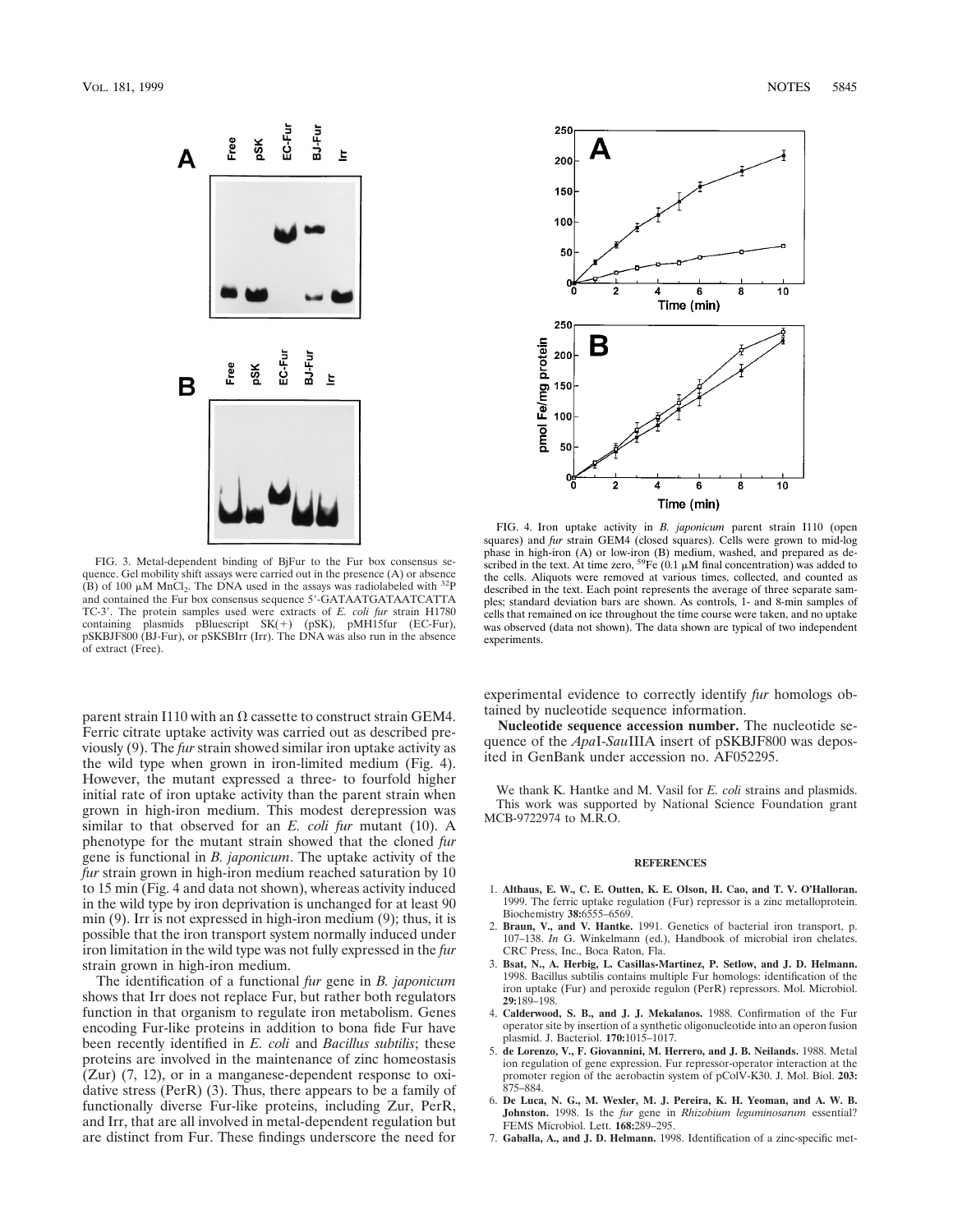

FIG. 3. Metal-dependent binding of BjFur to the Fur box consensus sequence. Gel mobility shift assays were carried out in the presence (A) or absence (B) of 100  $\mu$ M MnCl<sub>2</sub>. The DNA used in the assays was radiolabeled with <sup>32</sup>P and contained the Fur box consensus sequence 5'-GATAATGATAATCATTA TC-3'. The protein samples used were extracts of *E. coli fur* strain H1780 containing plasmids pBluescript  $SK(+)$  (pSK), pMH15fur (EC-Fur), pSKBJF800 (BJ-Fur), or pSKSBIrr (Irr). The DNA was also run in the absence of extract (Free).

parent strain I110 with an  $\Omega$  cassette to construct strain GEM4. Ferric citrate uptake activity was carried out as described previously (9). The *fur* strain showed similar iron uptake activity as the wild type when grown in iron-limited medium (Fig. 4). However, the mutant expressed a three- to fourfold higher initial rate of iron uptake activity than the parent strain when grown in high-iron medium. This modest derepression was similar to that observed for an *E. coli fur* mutant (10). A phenotype for the mutant strain showed that the cloned *fur* gene is functional in *B. japonicum*. The uptake activity of the *fur* strain grown in high-iron medium reached saturation by 10 to 15 min (Fig. 4 and data not shown), whereas activity induced in the wild type by iron deprivation is unchanged for at least 90 min (9). Irr is not expressed in high-iron medium (9); thus, it is possible that the iron transport system normally induced under iron limitation in the wild type was not fully expressed in the *fur* strain grown in high-iron medium.

The identification of a functional *fur* gene in *B. japonicum* shows that Irr does not replace Fur, but rather both regulators function in that organism to regulate iron metabolism. Genes encoding Fur-like proteins in addition to bona fide Fur have been recently identified in *E. coli* and *Bacillus subtilis*; these proteins are involved in the maintenance of zinc homeostasis (Zur) (7, 12), or in a manganese-dependent response to oxidative stress (PerR) (3). Thus, there appears to be a family of functionally diverse Fur-like proteins, including Zur, PerR, and Irr, that are all involved in metal-dependent regulation but are distinct from Fur. These findings underscore the need for



FIG. 4. Iron uptake activity in *B. japonicum* parent strain I110 (open squares) and *fur* strain GEM4 (closed squares). Cells were grown to mid-log phase in high-iron (A) or low-iron (B) medium, washed, and prepared as described in the text. At time zero,  ${}^{59}Fe$  (0.1  $\mu$ M final concentration) was added to the cells. Aliquots were removed at various times, collected, and counted as described in the text. Each point represents the average of three separate samples; standard deviation bars are shown. As controls, 1- and 8-min samples of cells that remained on ice throughout the time course were taken, and no uptake was observed (data not shown). The data shown are typical of two independent experiments.

experimental evidence to correctly identify *fur* homologs obtained by nucleotide sequence information.

**Nucleotide sequence accession number.** The nucleotide sequence of the *Apa*I-*Sau*IIIA insert of pSKBJF800 was deposited in GenBank under accession no. AF052295.

We thank K. Hantke and M. Vasil for *E. coli* strains and plasmids. This work was supported by National Science Foundation grant MCB-9722974 to M.R.O.

## **REFERENCES**

- 1. **Althaus, E. W., C. E. Outten, K. E. Olson, H. Cao, and T. V. O'Halloran.** 1999. The ferric uptake regulation (Fur) repressor is a zinc metalloprotein. Biochemistry **38:**6555–6569.
- 2. **Braun, V., and V. Hantke.** 1991. Genetics of bacterial iron transport, p. 107–138. *In* G. Winkelmann (ed.), Handbook of microbial iron chelates. CRC Press, Inc., Boca Raton, Fla.
- 3. **Bsat, N., A. Herbig, L. Casillas-Martinez, P. Setlow, and J. D. Helmann.** 1998. Bacillus subtilis contains multiple Fur homologs: identification of the iron uptake (Fur) and peroxide regulon (PerR) repressors. Mol. Microbiol. **29:**189–198.
- 4. **Calderwood, S. B., and J. J. Mekalanos.** 1988. Confirmation of the Fur operator site by insertion of a synthetic oligonucleotide into an operon fusion plasmid. J. Bacteriol. **170:**1015–1017.
- 5. **de Lorenzo, V., F. Giovannini, M. Herrero, and J. B. Neilands.** 1988. Metal ion regulation of gene expression. Fur repressor-operator interaction at the promoter region of the aerobactin system of pColV-K30. J. Mol. Biol. **203:** 875–884.
- 6. **De Luca, N. G., M. Wexler, M. J. Pereira, K. H. Yeoman, and A. W. B. Johnston.** 1998. Is the *fur* gene in *Rhizobium leguminosarum* essential? FEMS Microbiol. Lett. **168:**289–295.
- 7. **Gaballa, A., and J. D. Helmann.** 1998. Identification of a zinc-specific met-